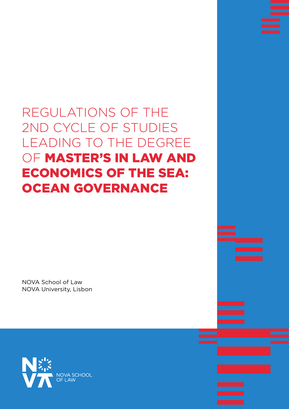# REGULATIONS OF THE 2ND CYCLE OF STUDIES LEADING TO THE DEGREE OF MASTER'S IN LAW AND ECONOMICS OF THE SEA: OCEAN GOVERNANCE

NOVA School of Law NOVA University, Lisbon

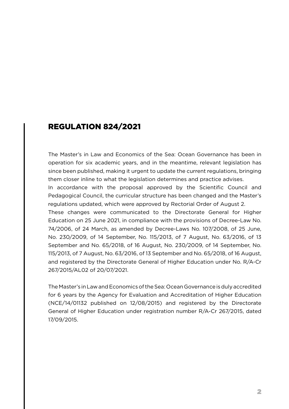### REGULATION 824/2021

The Master's in Law and Economics of the Sea: Ocean Governance has been in operation for six academic years, and in the meantime, relevant legislation has since been published, making it urgent to update the current regulations, bringing them closer inline to what the legislation determines and practice advises.

In accordance with the proposal approved by the Scientific Council and Pedagogical Council, the curricular structure has been changed and the Master's regulations updated, which were approved by Rectorial Order of August 2.

These changes were communicated to the Directorate General for Higher Education on 25 June 2021, in compliance with the provisions of Decree-Law No. 74/2006, of 24 March, as amended by Decree-Laws No. 107/2008, of 25 June, No. 230/2009, of 14 September, No. 115/2013, of 7 August, No. 63/2016, of 13 September and No. 65/2018, of 16 August, No. 230/2009, of 14 September, No. 115/2013, of 7 August, No. 63/2016, of 13 September and No. 65/2018, of 16 August, and registered by the Directorate General of Higher Education under No. R/A-Cr 267/2015/AL02 of 20/07/2021.

The Master's in Law and Economics of the Sea: Ocean Governance is duly accredited for 6 years by the Agency for Evaluation and Accreditation of Higher Education (NCE/14/01132 published on 12/08/2015) and registered by the Directorate General of Higher Education under registration number R/A-Cr 267/2015, dated 17/09/2015.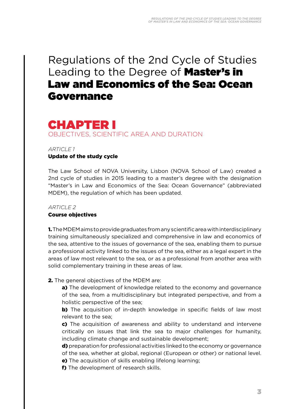# Regulations of the 2nd Cycle of Studies Leading to the Degree of **Master's in** Law and Economics of the Sea: Ocean Governance

# CHAPTER I OBJECTIVES, SCIENTIFIC AREA AND DURATION

#### *ARTICLE 1*

#### Update of the study cycle

The Law School of NOVA University, Lisbon (NOVA School of Law) created a 2nd cycle of studies in 2015 leading to a master's degree with the designation "Master's in Law and Economics of the Sea: Ocean Governance" (abbreviated MDEM), the regulation of which has been updated.

#### *ARTICLE 2*

#### Course objectives

1. The MDEM aims to provide graduates from any scientific area with interdisciplinary training simultaneously specialized and comprehensive in law and economics of the sea, attentive to the issues of governance of the sea, enabling them to pursue a professional activity linked to the issues of the sea, either as a legal expert in the areas of law most relevant to the sea, or as a professional from another area with solid complementary training in these areas of law.

**2.** The general objectives of the MDEM are:

a) The development of knowledge related to the economy and governance of the sea, from a multidisciplinary but integrated perspective, and from a holistic perspective of the sea;

b) The acquisition of in-depth knowledge in specific fields of law most relevant to the sea;

c) The acquisition of awareness and ability to understand and intervene critically on issues that link the sea to major challenges for humanity, including climate change and sustainable development;

d) preparation for professional activities linked to the economy or governance of the sea, whether at global, regional (European or other) or national level.

e) The acquisition of skills enabling lifelong learning;

f) The development of research skills.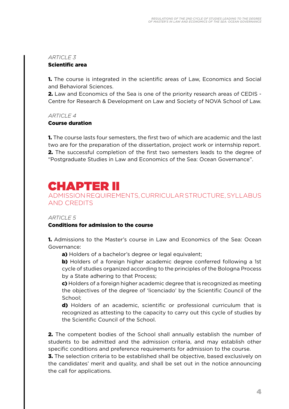#### Scientific area

**1.** The course is integrated in the scientific areas of Law, Economics and Social and Behavioral Sciences.

2. Law and Economics of the Sea is one of the priority research areas of CEDIS - Centre for Research & Development on Law and Society of NOVA School of Law.

*ARTICLE 4*

#### Course duration

1. The course lasts four semesters, the first two of which are academic and the last two are for the preparation of the dissertation, project work or internship report. 2. The successful completion of the first two semesters leads to the degree of "Postgraduate Studies in Law and Economics of the Sea: Ocean Governance".

# CHAPTER II

ADMISSION REQUIREMENTS, CURRICULAR STRUCTURE, SYLLABUS AND CREDITS

#### *ARTICLE 5*

#### Conditions for admission to the course

1. Admissions to the Master's course in Law and Economics of the Sea: Ocean Governance:

a) Holders of a bachelor's degree or legal equivalent;

b) Holders of a foreign higher academic degree conferred following a 1st cycle of studies organized according to the principles of the Bologna Process by a State adhering to that Process;

c) Holders of a foreign higher academic degree that is recognized as meeting the objectives of the degree of 'licenciado' by the Scientific Council of the School;

d) Holders of an academic, scientific or professional curriculum that is recognized as attesting to the capacity to carry out this cycle of studies by the Scientific Council of the School.

2. The competent bodies of the School shall annually establish the number of students to be admitted and the admission criteria, and may establish other specific conditions and preference requirements for admission to the course.

**3.** The selection criteria to be established shall be objective, based exclusively on the candidates' merit and quality, and shall be set out in the notice announcing the call for applications.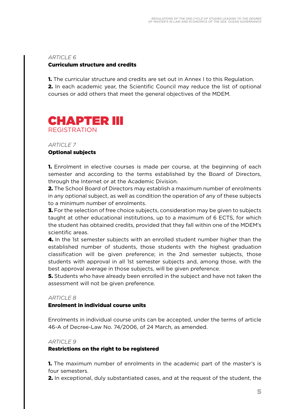#### Curriculum structure and credits

1. The curricular structure and credits are set out in Annex I to this Regulation. **2.** In each academic year, the Scientific Council may reduce the list of optional courses or add others that meet the general objectives of the MDEM.



#### *ARTICLE 7*

#### Optional subjects

1. Enrolment in elective courses is made per course, at the beginning of each semester and according to the terms established by the Board of Directors, through the Internet or at the Academic Division.

2. The School Board of Directors may establish a maximum number of enrolments in any optional subject, as well as condition the operation of any of these subjects to a minimum number of enrolments.

**3.** For the selection of free choice subjects, consideration may be given to subjects taught at other educational institutions, up to a maximum of 6 ECTS, for which the student has obtained credits, provided that they fall within one of the MDEM's scientific areas.

4. In the 1st semester subjects with an enrolled student number higher than the established number of students, those students with the highest graduation classification will be given preference; in the 2nd semester subjects, those students with approval in all 1st semester subjects and, among those, with the best approval average in those subjects, will be given preference.

**5.** Students who have already been enrolled in the subject and have not taken the assessment will not be given preference.

#### *ARTICLE 8*

#### Enrolment in individual course units

Enrolments in individual course units can be accepted, under the terms of article 46-A of Decree-Law No. 74/2006, of 24 March, as amended.

#### *ARTICLE 9*

#### Restrictions on the right to be registered

1. The maximum number of enrolments in the academic part of the master's is four semesters.

2. In exceptional, duly substantiated cases, and at the request of the student, the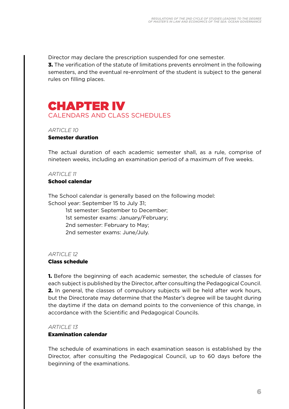Director may declare the prescription suspended for one semester.

**3.** The verification of the statute of limitations prevents enrolment in the following semesters, and the eventual re-enrolment of the student is subject to the general rules on filling places.

# CHAPTER IV CALENDARS AND CLASS SCHEDULES

#### *ARTICLE 10* Semester duration

The actual duration of each academic semester shall, as a rule, comprise of nineteen weeks, including an examination period of a maximum of five weeks.

#### *ARTICLE 11*

#### School calendar

The School calendar is generally based on the following model:

School year: September 15 to July 31;

1st semester: September to December; 1st semester exams: January/February; 2nd semester: February to May; 2nd semester exams: June/July.

#### *ARTICLE* 12

#### Class schedule

1. Before the beginning of each academic semester, the schedule of classes for each subject is published by the Director, after consulting the Pedagogical Council. 2. In general, the classes of compulsory subjects will be held after work hours, but the Directorate may determine that the Master's degree will be taught during the daytime if the data on demand points to the convenience of this change, in accordance with the Scientific and Pedagogical Councils.

#### *ARTICLE* 13

#### Examination calendar

The schedule of examinations in each examination season is established by the Director, after consulting the Pedagogical Council, up to 60 days before the beginning of the examinations.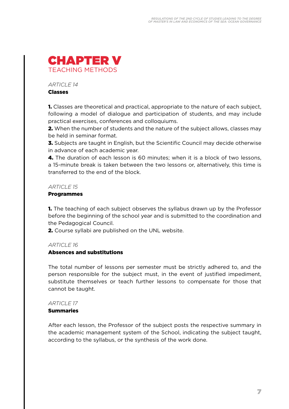

#### Classes

1. Classes are theoretical and practical, appropriate to the nature of each subject, following a model of dialogue and participation of students, and may include practical exercises, conferences and colloquiums.

**2.** When the number of students and the nature of the subject allows, classes may be held in seminar format.

**3.** Subjects are taught in English, but the Scientific Council may decide otherwise in advance of each academic year.

4. The duration of each lesson is 60 minutes; when it is a block of two lessons, a 15-minute break is taken between the two lessons or, alternatively, this time is transferred to the end of the block.

#### *ARTICLE 15*

#### Programmes

**1.** The teaching of each subject observes the syllabus drawn up by the Professor before the beginning of the school year and is submitted to the coordination and the Pedagogical Council.

2. Course syllabi are published on the UNL website.

#### *ARTICLE 16*

#### Absences and substitutions

The total number of lessons per semester must be strictly adhered to, and the person responsible for the subject must, in the event of justified impediment, substitute themselves or teach further lessons to compensate for those that cannot be taught.

#### *ARTICLE* 17

#### **Summaries**

After each lesson, the Professor of the subject posts the respective summary in the academic management system of the School, indicating the subject taught, according to the syllabus, or the synthesis of the work done.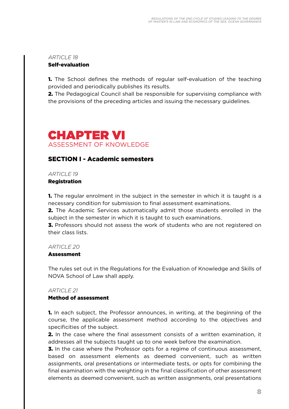#### Self-evaluation

**1.** The School defines the methods of regular self-evaluation of the teaching provided and periodically publishes its results.

2. The Pedagogical Council shall be responsible for supervising compliance with the provisions of the preceding articles and issuing the necessary guidelines.

# CHAPTER VI ASSESSMENT OF KNOWLEDGE

#### SECTION I - Academic semesters

*ARTICLE 19*

Registration

1. The regular enrolment in the subject in the semester in which it is taught is a necessary condition for submission to final assessment examinations.

2. The Academic Services automatically admit those students enrolled in the subject in the semester in which it is taught to such examinations.

**3.** Professors should not assess the work of students who are not registered on their class lists.

#### *ARTICLE 20*

#### Assessment

The rules set out in the Regulations for the Evaluation of Knowledge and Skills of NOVA School of Law shall apply.

#### *ARTICLE 21*

#### Method of assessment

1. In each subject, the Professor announces, in writing, at the beginning of the course, the applicable assessment method according to the objectives and specificities of the subject.

**2.** In the case where the final assessment consists of a written examination, it addresses all the subjects taught up to one week before the examination.

**3.** In the case where the Professor opts for a regime of continuous assessment, based on assessment elements as deemed convenient, such as written assignments, oral presentations or intermediate tests, or opts for combining the final examination with the weighting in the final classification of other assessment elements as deemed convenient, such as written assignments, oral presentations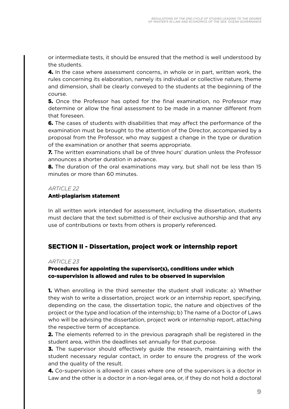or intermediate tests, it should be ensured that the method is well understood by the students.

4. In the case where assessment concerns, in whole or in part, written work, the rules concerning its elaboration, namely its individual or collective nature, theme and dimension, shall be clearly conveyed to the students at the beginning of the course.

**5.** Once the Professor has opted for the final examination, no Professor may determine or allow the final assessment to be made in a manner different from that foreseen.

**6.** The cases of students with disabilities that may affect the performance of the examination must be brought to the attention of the Director, accompanied by a proposal from the Professor, who may suggest a change in the type or duration of the examination or another that seems appropriate.

7. The written examinations shall be of three hours' duration unless the Professor announces a shorter duration in advance.

8. The duration of the oral examinations may vary, but shall not be less than 15 minutes or more than 60 minutes.

#### *ARTICLE 22*

#### Anti-plagiarism statement

In all written work intended for assessment, including the dissertation, students must declare that the text submitted is of their exclusive authorship and that any use of contributions or texts from others is properly referenced.

#### SECTION II - Dissertation, project work or internship report

#### *ARTICLE 23*

#### Procedures for appointing the supervisor(s), conditions under which co-supervision is allowed and rules to be observed in supervision

1. When enrolling in the third semester the student shall indicate: a) Whether they wish to write a dissertation, project work or an internship report, specifying, depending on the case, the dissertation topic, the nature and objectives of the project or the type and location of the internship; b) The name of a Doctor of Laws who will be advising the dissertation, project work or internship report, attaching the respective term of acceptance.

**2.** The elements referred to in the previous paragraph shall be registered in the student area, within the deadlines set annually for that purpose.

**3.** The supervisor should effectively guide the research, maintaining with the student necessary regular contact, in order to ensure the progress of the work and the quality of the result.

4. Co-supervision is allowed in cases where one of the supervisors is a doctor in Law and the other is a doctor in a non-legal area, or, if they do not hold a doctoral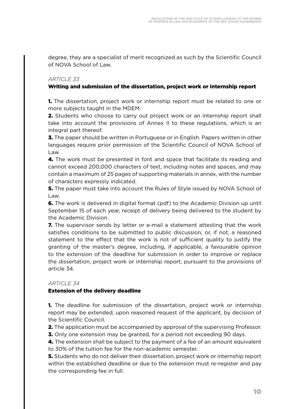degree, they are a specialist of merit recognized as such by the Scientific Council of NOVA School of Law.

#### *ARTICLE 33*

#### Writing and submission of the dissertation, project work or internship report

1. The dissertation, project work or internship report must be related to one or more subjects taught in the MDEM.

**2.** Students who choose to carry out project work or an internship report shall take into account the provisions of Annex II to these regulations, which is an integral part thereof.

**3.** The paper should be written in Portuguese or in English. Papers written in other languages require prior permission of the Scientific Council of NOVA School of Law.

**4.** The work must be presented in font and space that facilitate its reading and cannot exceed 200,000 characters of text, including notes and spaces, and may contain a maximum of 25 pages of supporting materials in annex, with the number of characters expressly indicated.

5. The paper must take into account the Rules of Style issued by NOVA School of Law.

**6.** The work is delivered in digital format (pdf) to the Academic Division up until September 15 of each year, receipt of delivery being delivered to the student by the Academic Division.

7. The supervisor sends by letter or e-mail a statement attesting that the work satisfies conditions to be submitted to public discussion, or, if not, a reasoned statement to the effect that the work is not of sufficient quality to justify the granting of the master's degree, including, if applicable, a favourable opinion to the extension of the deadline for submission in order to improve or replace the dissertation, project work or internship report, pursuant to the provisions of article 34.

#### *ARTICLE 34*

#### Extension of the delivery deadline

**1.** The deadline for submission of the dissertation, project work or internship report may be extended, upon reasoned request of the applicant, by decision of the Scientific Council.

**2.** The application must be accompanied by approval of the supervising Professor.

**3.** Only one extension may be granted, for a period not exceeding 90 days.

**4.** The extension shall be subject to the payment of a fee of an amount equivalent to 30% of the tuition fee for the non-academic semester.

5. Students who do not deliver their dissertation, project work or internship report within the established deadline or due to the extension must re-register and pay the corresponding fee in full.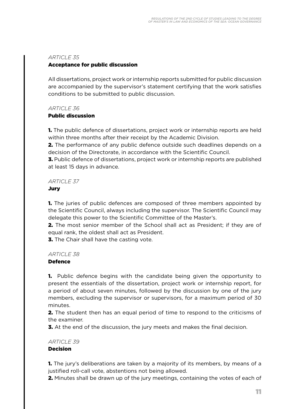#### Acceptance for public discussion

All dissertations, project work or internship reports submitted for public discussion are accompanied by the supervisor's statement certifying that the work satisfies conditions to be submitted to public discussion.

#### *ARTICLE 36*

#### Public discussion

1. The public defence of dissertations, project work or internship reports are held within three months after their receipt by the Academic Division.

**2.** The performance of any public defence outside such deadlines depends on a decision of the Directorate, in accordance with the Scientific Council.

3. Public defence of dissertations, project work or internship reports are published at least 15 days in advance.

#### *ARTICLE 37*

#### Jury

**1.** The juries of public defences are composed of three members appointed by the Scientific Council, always including the supervisor. The Scientific Council may delegate this power to the Scientific Committee of the Master's.

2. The most senior member of the School shall act as President; if they are of equal rank, the oldest shall act as President.

**3.** The Chair shall have the casting vote.

#### *ARTICLE* 38

#### **Defence**

1. Public defence begins with the candidate being given the opportunity to present the essentials of the dissertation, project work or internship report, for a period of about seven minutes, followed by the discussion by one of the jury members, excluding the supervisor or supervisors, for a maximum period of 30 minutes.

**2.** The student then has an equal period of time to respond to the criticisms of the examiner.

**3.** At the end of the discussion, the jury meets and makes the final decision.

#### *ARTICLE* 39

#### **Decision**

**1.** The jury's deliberations are taken by a majority of its members, by means of a justified roll-call vote, abstentions not being allowed.

2. Minutes shall be drawn up of the jury meetings, containing the votes of each of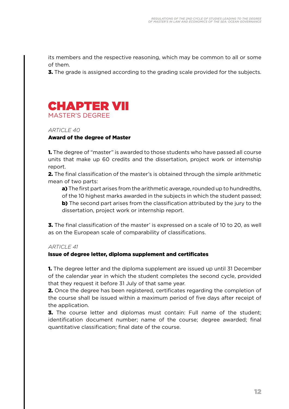its members and the respective reasoning, which may be common to all or some of them.

**3.** The grade is assigned according to the grading scale provided for the subjects.



*ARTICLE 40* Award of the degree of Master

1. The degree of "master" is awarded to those students who have passed all course units that make up 60 credits and the dissertation, project work or internship report.

2. The final classification of the master's is obtained through the simple arithmetic mean of two parts:

a) The first part arises from the arithmetic average, rounded up to hundredths, of the 10 highest marks awarded in the subjects in which the student passed; **b)** The second part arises from the classification attributed by the jury to the dissertation, project work or internship report.

**3.** The final classification of the master' is expressed on a scale of 10 to 20, as well as on the European scale of comparability of classifications.

#### *ARTICLE 41*

#### Issue of degree letter, diploma supplement and certificates

**1.** The degree letter and the diploma supplement are issued up until 31 December of the calendar year in which the student completes the second cycle, provided that they request it before 31 July of that same year.

2. Once the degree has been registered, certificates regarding the completion of the course shall be issued within a maximum period of five days after receipt of the application.

**3.** The course letter and diplomas must contain: Full name of the student: identification document number; name of the course; degree awarded; final quantitative classification; final date of the course.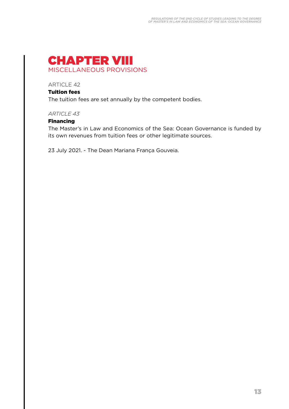

#### Tuition fees

The tuition fees are set annually by the competent bodies.

#### *ARTICLE 43*

#### Financing

The Master's in Law and Economics of the Sea: Ocean Governance is funded by its own revenues from tuition fees or other legitimate sources.

23 July 2021. - The Dean Mariana França Gouveia.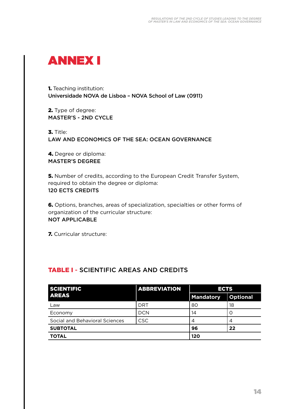

1. Teaching institution: Universidade NOVA de Lisboa – NOVA School of Law (0911)

2. Type of degree: MASTER'S - 2ND CYCLE

3. Title: LAW AND ECONOMICS OF THE SEA: OCEAN GOVERNANCE

4. Degree or diploma: MASTER'S DEGREE

5. Number of credits, according to the European Credit Transfer System, required to obtain the degree or diploma: 120 ECTS CREDITS

6. Options, branches, areas of specialization, specialties or other forms of organization of the curricular structure: NOT APPLICABLE

7. Curricular structure:

### TABLE I - SCIENTIFIC AREAS AND CREDITS

| <b>SCIENTIFIC</b>              | <b>ABBREVIATION</b> | <b>ECTS</b>      |                 |  |  |  |  |  |  |
|--------------------------------|---------------------|------------------|-----------------|--|--|--|--|--|--|
| <b>AREAS</b>                   |                     | <b>Mandatory</b> | <b>Optional</b> |  |  |  |  |  |  |
| Law                            | DRT                 | 80               | 18              |  |  |  |  |  |  |
| Economy                        | <b>DCN</b>          | 14               |                 |  |  |  |  |  |  |
| Social and Behavioral Sciences | <b>CSC</b>          | 4                | 4               |  |  |  |  |  |  |
| <b>SUBTOTAL</b>                |                     | 96               | 22              |  |  |  |  |  |  |
| <b>TOTAL</b>                   |                     | 120              |                 |  |  |  |  |  |  |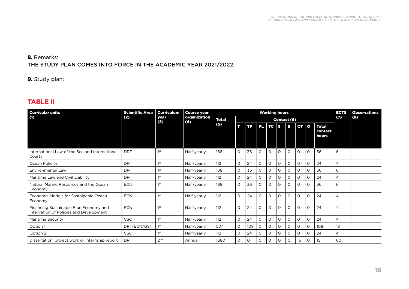#### 8. Remarks: THE STUDY PLAN COMES INTO FORCE IN THE ACADEMIC YEAR 2021/2022.

9. Study plan:

#### TABLE II

| <b>Curricular units</b>                                                           | <b>Scientific Area</b> | <b>Curriculum</b><br>year<br>(3) | <b>Course year</b><br>organization<br>(4) | <b>Working hours</b> |             |           |          |             |          |          |          |          |                                  | <b>ECTS</b><br>(7) | <b>Observations</b><br>(8) |
|-----------------------------------------------------------------------------------|------------------------|----------------------------------|-------------------------------------------|----------------------|-------------|-----------|----------|-------------|----------|----------|----------|----------|----------------------------------|--------------------|----------------------------|
| (1)                                                                               | (2)                    |                                  |                                           | <b>Total</b>         | Contact (6) |           |          |             |          |          |          |          |                                  |                    |                            |
|                                                                                   |                        |                                  |                                           | (5)                  | т           | <b>TP</b> |          | $PL$ TC $S$ |          | E        | $OT$   O |          | <b>Total</b><br>contact<br>hours |                    |                            |
| International Law of the Sea and International<br>Courts                          | <b>DRT</b>             | 1st                              | Half-yearly                               | 168                  | $\Omega$    | 36        | $\circ$  | $\circ$     | $\circ$  | $\circ$  | $\circ$  | $\Omega$ | 36                               | 6                  |                            |
| Ocean Policies                                                                    | DRT                    | 1st                              | Half-yearly                               | 112                  | $\circ$     | 24        | 0        | O           | $\circ$  | $\Omega$ | $\Omega$ | $\Omega$ | 24                               | 4                  |                            |
| Environmental Law                                                                 | <b>DRT</b>             | 1 <sup>st</sup>                  | Half-yearly                               | 168                  | $\circ$     | 36        | $\circ$  | 0           | $\circ$  | $\circ$  | $\circ$  | $\Omega$ | 36                               | 6                  |                            |
| Maritime Law and Civil Liability                                                  | <b>DRT</b>             | 1st                              | Half-yearly                               | 112                  | $\Omega$    | 24        | O        | 0           | $\circ$  | $\Omega$ | $\Omega$ | $\circ$  | 24                               | 4                  |                            |
| Natural Marine Resources and the Ocean<br>Economy                                 | <b>ECN</b>             | 1 <sup>st</sup>                  | Half-yearly                               | 168                  | $\Omega$    | 36        | $\circ$  | $\circ$     | $\circ$  | $\Omega$ | $\Omega$ | $\Omega$ | 36                               | 6                  |                            |
| Economic Models for Sustainable Ocean<br>Economy                                  | <b>ECN</b>             | 1 <sup>st</sup>                  | Half-yearly                               | 112                  | $\Omega$    | 24        | $\circ$  | $\circ$     | $\circ$  | $\Omega$ | $\Omega$ | $\Omega$ | 24                               | 4                  |                            |
| Financing Sustainable Blue Economy and<br>Integration of Policies and Development | <b>ECN</b>             | 1st                              | Half-yearly                               | 112                  | $\Omega$    | 24        | $\circ$  | $\circ$     | $\circ$  | $\Omega$ | $\Omega$ | $\Omega$ | 24                               | 4                  |                            |
| <b>Maritime Security</b>                                                          | CSC                    | 1st                              | Half-yearly                               | 112                  | $\Omega$    | 24        | $\circ$  | $\circ$     | $\Omega$ | $\Omega$ | $\Omega$ | $\Omega$ | 24                               | 4                  |                            |
| Option 1                                                                          | DRT/ECN/GST            | 1st                              | Half-yearly                               | 504                  | $\Omega$    | 108       | $\Omega$ | $\Omega$    | $\Omega$ | $\Omega$ | $\Omega$ | $\Omega$ | 108                              | 18                 |                            |
| Option 2                                                                          | <b>CSC</b>             | 1st                              | Half-yearly                               | 112                  | $\Omega$    | 24        | $\circ$  | $\circ$     | 0        | $\Omega$ | $\Omega$ | $\Omega$ | 24                               | 4                  |                            |
| Dissertation, project work or internship report                                   | <b>DRT</b>             | 2 <sub>nd</sub>                  | Annual                                    | 1680                 | 0           | O         | $\circ$  | 0           | 0        | $\circ$  | 15       | $\circ$  | 15                               | 60                 |                            |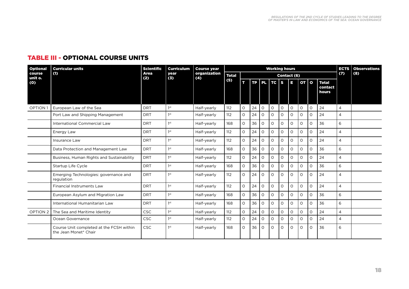#### TABLE III - OPTIONAL COURSE UNITS

| Optional<br>course<br>unit o. | <b>Curricular units</b><br>(1)                                    | <b>Scientific</b><br>Area<br>(2) | <b>Curriculum</b><br>year<br>(3) | <b>Course year</b><br>organization<br>(4) | <b>Working hours</b> |             |    |          |            |          |          |          |          |                                  |                | <b>Observations</b> |
|-------------------------------|-------------------------------------------------------------------|----------------------------------|----------------------------------|-------------------------------------------|----------------------|-------------|----|----------|------------|----------|----------|----------|----------|----------------------------------|----------------|---------------------|
|                               |                                                                   |                                  |                                  |                                           | <b>Total</b>         | Contact (6) |    |          |            |          |          |          |          |                                  | (7)            | (8)                 |
| (0)                           |                                                                   |                                  |                                  |                                           | (5)                  | т           |    |          | TP PL TC S |          | ū        | $OT$ 0   |          | <b>Total</b><br>contact<br>hours |                |                     |
| <b>OPTION1</b>                | European Law of the Sea                                           | <b>DRT</b>                       | 1 <sup>st</sup>                  | Half-yearly                               | 112                  | $\circ$     | 24 | $\circ$  | $\circ$    | $\circ$  | $\circ$  | $\circ$  | $\circ$  | 24                               | $\overline{4}$ |                     |
|                               | Port Law and Shipping Management                                  | <b>DRT</b>                       | 1 <sup>st</sup>                  | Half-yearly                               | 112                  | $\circ$     | 24 | $\Omega$ | $\Omega$   | $\Omega$ | $\Omega$ | $\Omega$ | O        | 24                               | $\overline{4}$ |                     |
|                               | International Commercial Law                                      | <b>DRT</b>                       | 1 <sup>st</sup>                  | Half-yearly                               | 168                  | $\circ$     | 36 | $\Omega$ | $\Omega$   | 0        | $\Omega$ | $\circ$  | O        | 36                               | 6              |                     |
|                               | Energy Law                                                        | <b>DRT</b>                       | 1 <sup>st</sup>                  | Half-yearly                               | 112                  | $\circ$     | 24 | $\circ$  | $\Omega$   | $\Omega$ | $\Omega$ | $\circ$  | $\Omega$ | 24                               | $\overline{4}$ |                     |
|                               | Insurance Law                                                     | <b>DRT</b>                       | 1 <sup>st</sup>                  | Half-yearly                               | 112                  | $\circ$     | 24 | $\Omega$ | $\Omega$   | $\Omega$ | $\Omega$ | $\circ$  | 0        | 24                               | 4              |                     |
|                               | Data Protection and Management Law                                | <b>DRT</b>                       | 1 <sup>st</sup>                  | Half-yearly                               | 168                  | $\Omega$    | 36 | $\Omega$ | $\Omega$   | $\circ$  | $\Omega$ | $\circ$  | $\Omega$ | 36                               | 6              |                     |
|                               | Business, Human Rights and Sustainability                         | <b>DRT</b>                       | 1 <sup>st</sup>                  | Half-yearly                               | 112                  | $\Omega$    | 24 | $\circ$  | $\Omega$   | $\Omega$ | $\Omega$ | $\circ$  | $\Omega$ | 24                               | $\overline{4}$ |                     |
|                               | Startup Life Cycle                                                | <b>DRT</b>                       | 1 <sup>st</sup>                  | Half-yearly                               | 168                  | $\Omega$    | 36 | $\Omega$ | $\Omega$   | $\Omega$ | $\Omega$ | $\circ$  | O        | 36                               | 6              |                     |
|                               | Emerging Technologies: governance and<br>regulation               | <b>DRT</b>                       | 1st                              | Half-yearly                               | 112                  | $\Omega$    | 24 | $\Omega$ | $\Omega$   | $\Omega$ | $\Omega$ | $\Omega$ | $\Omega$ | 24                               | $\overline{4}$ |                     |
|                               | <b>Financial Instruments Law</b>                                  | <b>DRT</b>                       | 1 <sup>st</sup>                  | Half-yearly                               | 112                  | $\Omega$    | 24 | $\Omega$ | $\Omega$   | $\circ$  | $\Omega$ | $\circ$  | $\Omega$ | 24                               | $\overline{4}$ |                     |
|                               | European Asylum and Migration Law                                 | <b>DRT</b>                       | 1 <sup>st</sup>                  | Half-yearly                               | 168                  | $\Omega$    | 36 | $\Omega$ | $\Omega$   | $\Omega$ | $\Omega$ | $\Omega$ | $\Omega$ | 36                               | 6              |                     |
|                               | International Humanitarian Law                                    | <b>DRT</b>                       | 1 <sup>st</sup>                  | Half-yearly                               | 168                  | $\Omega$    | 36 | $\Omega$ | $\Omega$   | $\Omega$ | $\Omega$ | $\circ$  | O        | 36                               | 6              |                     |
| OPTION <sub>2</sub>           | The Sea and Maritime Identity                                     | <b>CSC</b>                       | 1 <sup>st</sup>                  | Half-yearly                               | 112                  | $\Omega$    | 24 | $\circ$  | $\Omega$   | $\Omega$ | $\Omega$ | $\circ$  | $\Omega$ | 24                               | $\overline{4}$ |                     |
|                               | Ocean Governance                                                  | <b>CSC</b>                       | 1 <sup>st</sup>                  | Half-yearly                               | 112                  | $\Omega$    | 24 | O        | $\Omega$   | $\circ$  | $\Omega$ | $\circ$  | 0        | 24                               | $\overline{4}$ |                     |
|                               | Course Unit completed at the FCSH within<br>the Jean Monet* Chair | <b>CSC</b>                       | 1 <sup>st</sup>                  | Half-yearly                               | 168                  | $\circ$     | 36 | $\circ$  | $\circ$    | $\circ$  | $\circ$  | $\circ$  | O        | 36                               | 6              |                     |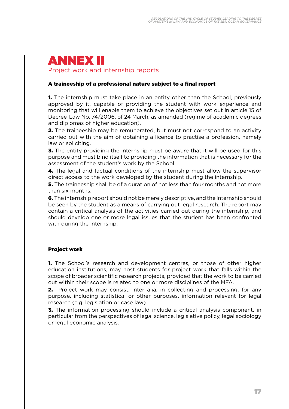### ANNEX II Project work and internship reports

#### A traineeship of a professional nature subject to a final report

**1.** The internship must take place in an entity other than the School, previously approved by it, capable of providing the student with work experience and monitoring that will enable them to achieve the objectives set out in article 15 of Decree-Law No. 74/2006, of 24 March, as amended (regime of academic degrees and diplomas of higher education).

2. The traineeship may be remunerated, but must not correspond to an activity carried out with the aim of obtaining a licence to practise a profession, namely law or soliciting.

**3.** The entity providing the internship must be aware that it will be used for this purpose and must bind itself to providing the information that is necessary for the assessment of the student's work by the School.

4. The legal and factual conditions of the internship must allow the supervisor direct access to the work developed by the student during the internship.

**5.** The traineeship shall be of a duration of not less than four months and not more than six months.

**6.** The internship report should not be merely descriptive, and the internship should be seen by the student as a means of carrying out legal research. The report may contain a critical analysis of the activities carried out during the internship, and should develop one or more legal issues that the student has been confronted with during the internship.

#### Project work

**1.** The School's research and development centres, or those of other higher education institutions, may host students for project work that falls within the scope of broader scientific research projects, provided that the work to be carried out within their scope is related to one or more disciplines of the MFA.

**2.** Project work may consist, inter alia, in collecting and processing, for any purpose, including statistical or other purposes, information relevant for legal research (e.g. legislation or case law).

**3.** The information processing should include a critical analysis component, in particular from the perspectives of legal science, legislative policy, legal sociology or legal economic analysis.